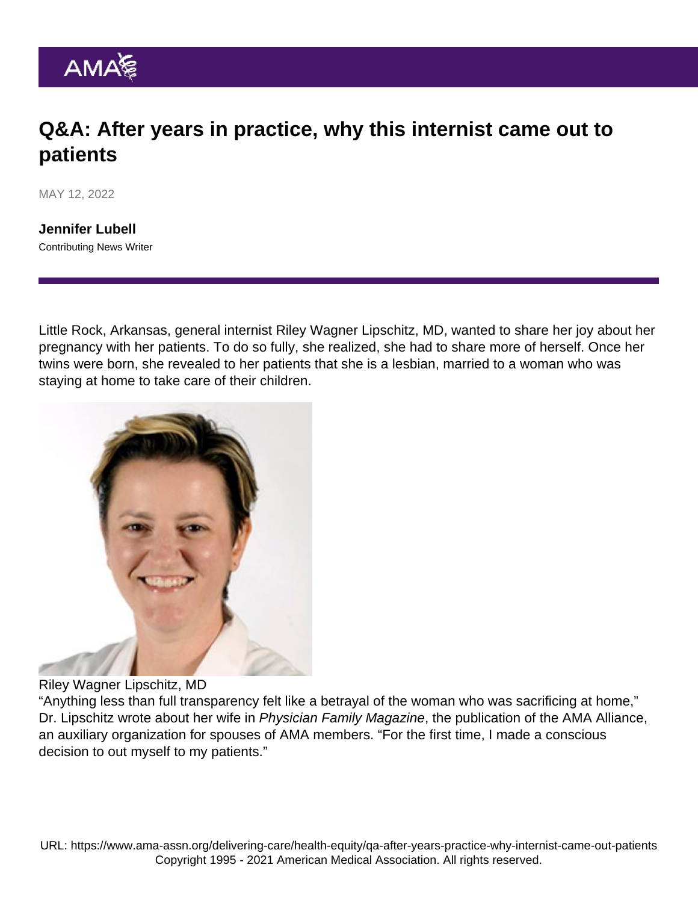## Q&A: After years in practice, why this internist came out to patients

MAY 12, 2022

[Jennifer Lubell](https://www.ama-assn.org/news-leadership-viewpoints/authors-news-leadership-viewpoints/jennifer-lubell) Contributing News Writer

Little Rock, Arkansas, general internist Riley Wagner Lipschitz, MD, wanted to share her joy about her pregnancy with her patients. To do so fully, she realized, she had to share more of herself. Once her twins were born, she revealed to her patients that she is a lesbian, married to a woman who was staying at home to take care of their children.

## Riley Wagner Lipschitz, MD

"Anything less than full transparency felt like a betrayal of the woman who was sacrificing at home," Dr. Lipschitz [wrote](https://bluetoad.com/publication/?m=62681&i=737781&p=26&ver=html5) about her wife in [Physician Family Magazine,](https://www.physicianfamilymedia.org/) the publication of the [AMA Alliance,](http://www.amaalliance.org/) an auxiliary organization for spouses of AMA members. "For the first time, I made a conscious decision to out myself to my patients."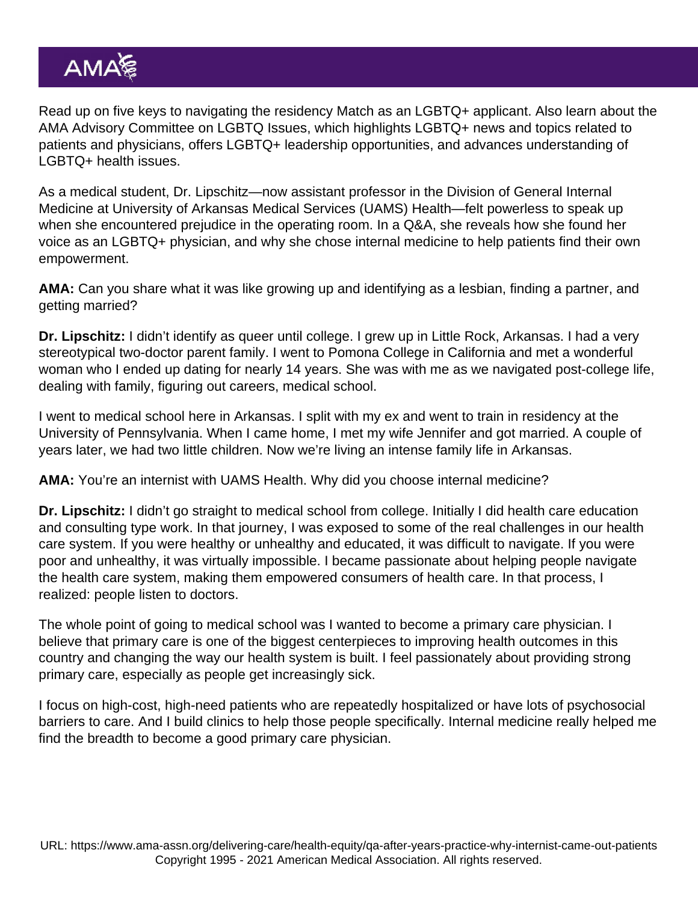Read up on five keys to [navigating the residency Match as an LGBTQ+ applicant](https://www.ama-assn.org/residents-students/residency/5-keys-navigating-residency-match-lgbtq-applicant). Also learn about the [AMA Advisory Committee on LGBTQ Issues](https://www.ama-assn.org/member-groups-sections/advisory-committee-lgbtq-issues), which highlights LGBTQ+ news and topics related to patients and physicians, offers LGBTQ+ leadership opportunities, and [advances understanding of](https://www.ama-assn.org/delivering-care/population-care/understanding-lgbtq-health-issues) [LGBTQ+ health issues](https://www.ama-assn.org/delivering-care/population-care/understanding-lgbtq-health-issues).

As a medical student, Dr. Lipschitz—now assistant professor in the Division of General Internal Medicine at University of Arkansas Medical Services (UAMS) Health—felt powerless to speak up when she encountered prejudice in the operating room. In a Q&A, she reveals how she found her voice as an LGBTQ+ physician, and why she chose internal medicine to help patients find their own empowerment.

AMA: Can you share what it was like growing up and identifying as a lesbian, finding a partner, and getting married?

Dr. Lipschitz: I didn't identify as queer until college. I grew up in Little Rock, Arkansas. I had a very stereotypical two-doctor parent family. I went to Pomona College in California and met a wonderful woman who I ended up dating for nearly 14 years. She was with me as we navigated post-college life, dealing with family, figuring out careers, medical school.

I went to medical school here in Arkansas. I split with my ex and went to train in residency at the University of Pennsylvania. When I came home, I met my wife Jennifer and got married. A couple of years later, we had two little children. Now we're living an intense family life in Arkansas.

AMA: You're an internist with UAMS Health. Why did you choose internal medicine?

Dr. Lipschitz: I didn't go straight to medical school from college. Initially I did health care education and consulting type work. In that journey, I was exposed to some of the real challenges in our health care system. If you were healthy or unhealthy and educated, it was difficult to navigate. If you were poor and unhealthy, it was virtually impossible. I became passionate about helping people navigate the health care system, making them empowered consumers of health care. In that process, I realized: people listen to doctors.

The whole point of going to medical school was I wanted to become a primary care physician. I believe that primary care is one of the biggest centerpieces to improving health outcomes in this country and changing the way our health system is built. I feel passionately about providing strong primary care, especially as people get increasingly sick.

I focus on high-cost, high-need patients who are repeatedly hospitalized or have lots of psychosocial barriers to care. And I build clinics to help those people specifically. Internal medicine really helped me find the breadth to become a good primary care physician.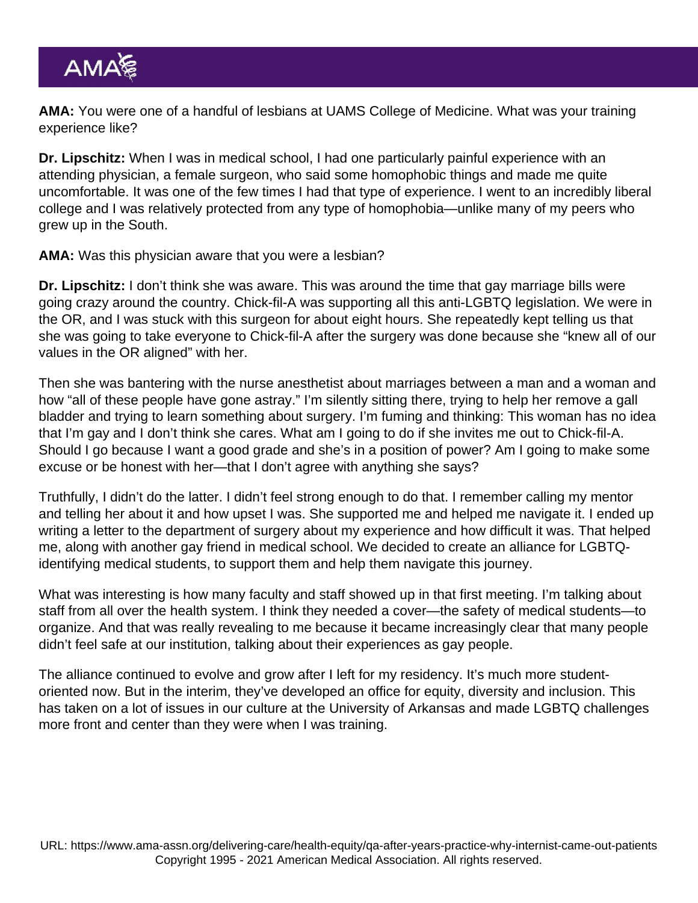AMA: You were one of a handful of lesbians at UAMS College of Medicine. What was your training experience like?

Dr. Lipschitz: When I was in medical school, I had one particularly painful experience with an attending physician, a female surgeon, who said some homophobic things and made me quite uncomfortable. It was one of the few times I had that type of experience. I went to an incredibly liberal college and I was relatively protected from any type of homophobia—unlike many of my peers who grew up in the South.

AMA: Was this physician aware that you were a lesbian?

Dr. Lipschitz: I don't think she was aware. This was around the time that gay marriage bills were going crazy around the country. Chick-fil-A was supporting all this anti-LGBTQ legislation. We were in the OR, and I was stuck with this surgeon for about eight hours. She repeatedly kept telling us that she was going to take everyone to Chick-fil-A after the surgery was done because she "knew all of our values in the OR aligned" with her.

Then she was bantering with the nurse anesthetist about marriages between a man and a woman and how "all of these people have gone astray." I'm silently sitting there, trying to help her remove a gall bladder and trying to learn something about surgery. I'm fuming and thinking: This woman has no idea that I'm gay and I don't think she cares. What am I going to do if she invites me out to Chick-fil-A. Should I go because I want a good grade and she's in a position of power? Am I going to make some excuse or be honest with her—that I don't agree with anything she says?

Truthfully, I didn't do the latter. I didn't feel strong enough to do that. I remember calling my mentor and telling her about it and how upset I was. She supported me and helped me navigate it. I ended up writing a letter to the department of surgery about my experience and how difficult it was. That helped me, along with another gay friend in medical school. We decided to create an alliance for LGBTQidentifying medical students, to support them and help them navigate this journey.

What was interesting is how many faculty and staff showed up in that first meeting. I'm talking about staff from all over the health system. I think they needed a cover—the safety of medical students—to organize. And that was really revealing to me because it became increasingly clear that many people didn't feel safe at our institution, talking about their experiences as gay people.

The alliance continued to evolve and grow after I left for my residency. It's much more studentoriented now. But in the interim, they've developed an office for equity, diversity and inclusion. This has taken on a lot of issues in our culture at the University of Arkansas and made LGBTQ challenges more front and center than they were when I was training.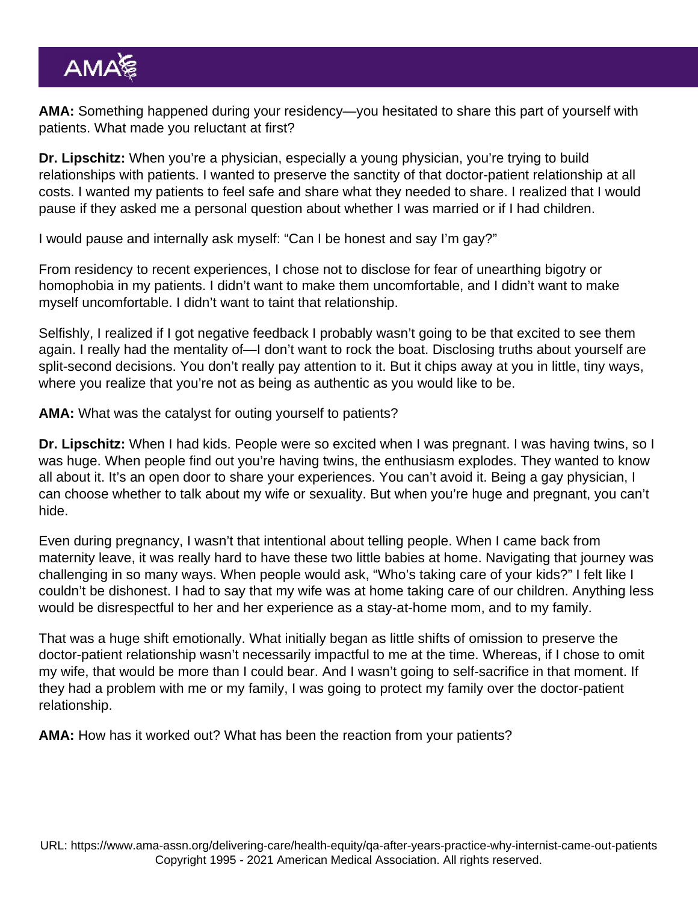AMA: Something happened during your residency—you hesitated to share this part of yourself with patients. What made you reluctant at first?

Dr. Lipschitz: When you're a physician, especially a young physician, you're trying to build relationships with patients. I wanted to preserve the sanctity of that doctor-patient relationship at all costs. I wanted my patients to feel safe and share what they needed to share. I realized that I would pause if they asked me a personal question about whether I was married or if I had children.

I would pause and internally ask myself: "Can I be honest and say I'm gay?"

From residency to recent experiences, I chose not to disclose for fear of unearthing bigotry or homophobia in my patients. I didn't want to make them uncomfortable, and I didn't want to make myself uncomfortable. I didn't want to taint that relationship.

Selfishly, I realized if I got negative feedback I probably wasn't going to be that excited to see them again. I really had the mentality of—I don't want to rock the boat. Disclosing truths about yourself are split-second decisions. You don't really pay attention to it. But it chips away at you in little, tiny ways, where you realize that you're not as being as authentic as you would like to be.

AMA: What was the catalyst for outing yourself to patients?

Dr. Lipschitz: When I had kids. People were so excited when I was pregnant. I was having twins, so I was huge. When people find out you're having twins, the enthusiasm explodes. They wanted to know all about it. It's an open door to share your experiences. You can't avoid it. Being a gay physician, I can choose whether to talk about my wife or sexuality. But when you're huge and pregnant, you can't hide.

Even during pregnancy, I wasn't that intentional about telling people. When I came back from maternity leave, it was really hard to have these two little babies at home. Navigating that journey was challenging in so many ways. When people would ask, "Who's taking care of your kids?" I felt like I couldn't be dishonest. I had to say that my wife was at home taking care of our children. Anything less would be disrespectful to her and her experience as a stay-at-home mom, and to my family.

That was a huge shift emotionally. What initially began as little shifts of omission to preserve the doctor-patient relationship wasn't necessarily impactful to me at the time. Whereas, if I chose to omit my wife, that would be more than I could bear. And I wasn't going to self-sacrifice in that moment. If they had a problem with me or my family, I was going to protect my family over the doctor-patient relationship.

AMA: How has it worked out? What has been the reaction from your patients?